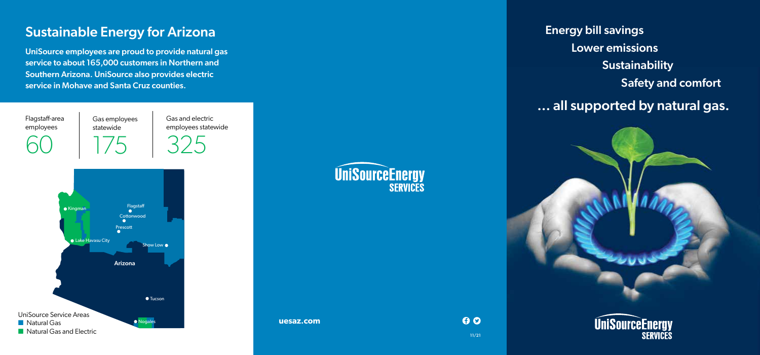# Sustainable Energy for Arizona

UniSource employees are proud to provide natural gas service to about 165,000 customers in Northern and Southern Arizona. UniSource also provides electric service in Mohave and Santa Cruz counties.

Flagstaff-area employees

60

Gas employees statewide 175

Gas and electric employees statewide





**uesaz.com**

Energy Bill Savings Energy bill savings **Lower emissions** Sustainability Sustainability **Safety and comfort Safety** ... all supported by natural gas.



 $0<sup>o</sup>$ 

11/21